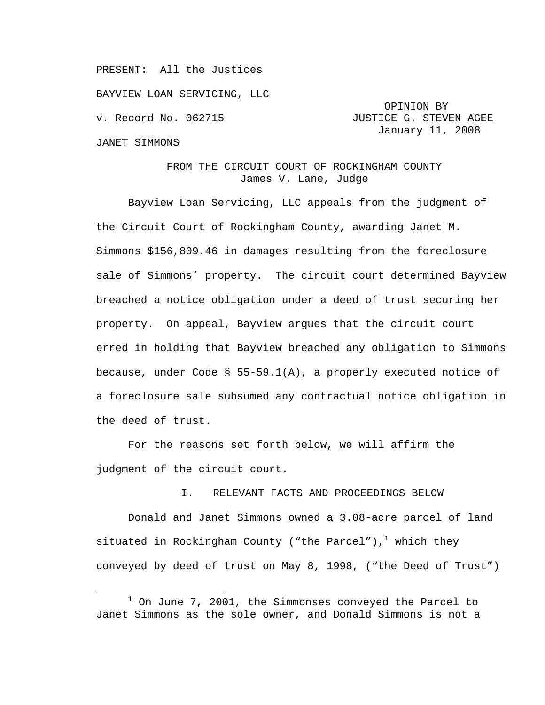PRESENT: All the Justices

BAYVIEW LOAN SERVICING, LLC

#### JANET SIMMONS

# OPINION BY v. Record No. 062715 **JUSTICE G. STEVEN AGEE** January 11, 2008

## FROM THE CIRCUIT COURT OF ROCKINGHAM COUNTY James V. Lane, Judge

Bayview Loan Servicing, LLC appeals from the judgment of the Circuit Court of Rockingham County, awarding Janet M. Simmons \$156,809.46 in damages resulting from the foreclosure sale of Simmons' property. The circuit court determined Bayview breached a notice obligation under a deed of trust securing her property. On appeal, Bayview argues that the circuit court erred in holding that Bayview breached any obligation to Simmons because, under Code § 55-59.1(A), a properly executed notice of a foreclosure sale subsumed any contractual notice obligation in the deed of trust.

For the reasons set forth below, we will affirm the judgment of the circuit court.

## I. RELEVANT FACTS AND PROCEEDINGS BELOW

Donald and Janet Simmons owned a 3.08-acre parcel of land situated in Rockingham County ("the Parcel"), $^1$  which they conveyed by deed of trust on May 8, 1998, ("the Deed of Trust")

<sup>&</sup>lt;u>1</u>  $1$  On June 7, 2001, the Simmonses conveyed the Parcel to Janet Simmons as the sole owner, and Donald Simmons is not a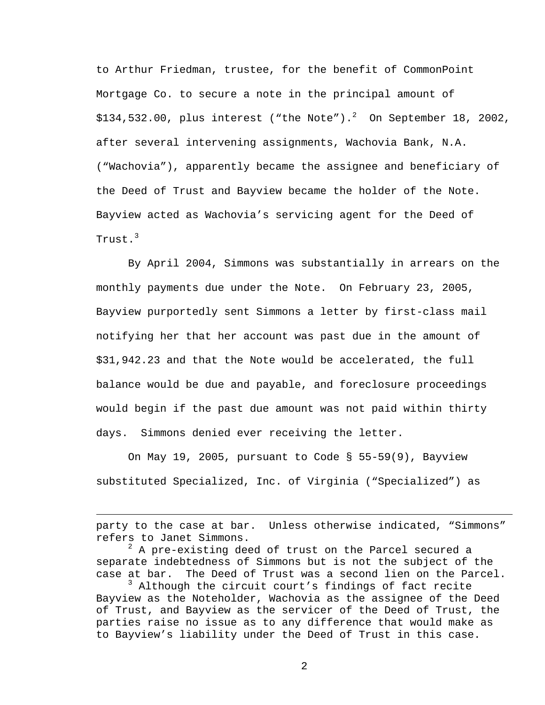to Arthur Friedman, trustee, for the benefit of CommonPoint Mortgage Co. to secure a note in the principal amount of \$134,532.00, plus interest ("the Note"). $^2$  On September 18, 2002, after several intervening assignments, Wachovia Bank, N.A. ("Wachovia"), apparently became the assignee and beneficiary of the Deed of Trust and Bayview became the holder of the Note. Bayview acted as Wachovia's servicing agent for the Deed of Trust.<sup>3</sup>

By April 2004, Simmons was substantially in arrears on the monthly payments due under the Note. On February 23, 2005, Bayview purportedly sent Simmons a letter by first-class mail notifying her that her account was past due in the amount of \$31,942.23 and that the Note would be accelerated, the full balance would be due and payable, and foreclosure proceedings would begin if the past due amount was not paid within thirty days. Simmons denied ever receiving the letter.

On May 19, 2005, pursuant to Code § 55-59(9), Bayview substituted Specialized, Inc. of Virginia ("Specialized") as

i<br>Li

party to the case at bar. Unless otherwise indicated, "Simmons" refers to Janet Simmons.

 $^2$  A pre-existing deed of trust on the Parcel secured a separate indebtedness of Simmons but is not the subject of the case at bar. The Deed of Trust was a second lien on the Parcel.

<sup>3</sup> Although the circuit court's findings of fact recite Bayview as the Noteholder, Wachovia as the assignee of the Deed of Trust, and Bayview as the servicer of the Deed of Trust, the parties raise no issue as to any difference that would make as to Bayview's liability under the Deed of Trust in this case.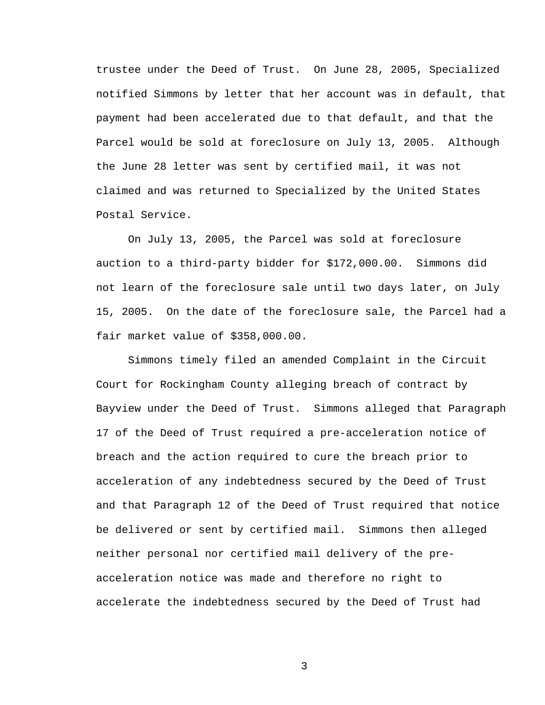trustee under the Deed of Trust. On June 28, 2005, Specialized notified Simmons by letter that her account was in default, that payment had been accelerated due to that default, and that the Parcel would be sold at foreclosure on July 13, 2005. Although the June 28 letter was sent by certified mail, it was not claimed and was returned to Specialized by the United States Postal Service.

On July 13, 2005, the Parcel was sold at foreclosure auction to a third-party bidder for \$172,000.00. Simmons did not learn of the foreclosure sale until two days later, on July 15, 2005. On the date of the foreclosure sale, the Parcel had a fair market value of \$358,000.00.

Simmons timely filed an amended Complaint in the Circuit Court for Rockingham County alleging breach of contract by Bayview under the Deed of Trust. Simmons alleged that Paragraph 17 of the Deed of Trust required a pre-acceleration notice of breach and the action required to cure the breach prior to acceleration of any indebtedness secured by the Deed of Trust and that Paragraph 12 of the Deed of Trust required that notice be delivered or sent by certified mail. Simmons then alleged neither personal nor certified mail delivery of the preacceleration notice was made and therefore no right to accelerate the indebtedness secured by the Deed of Trust had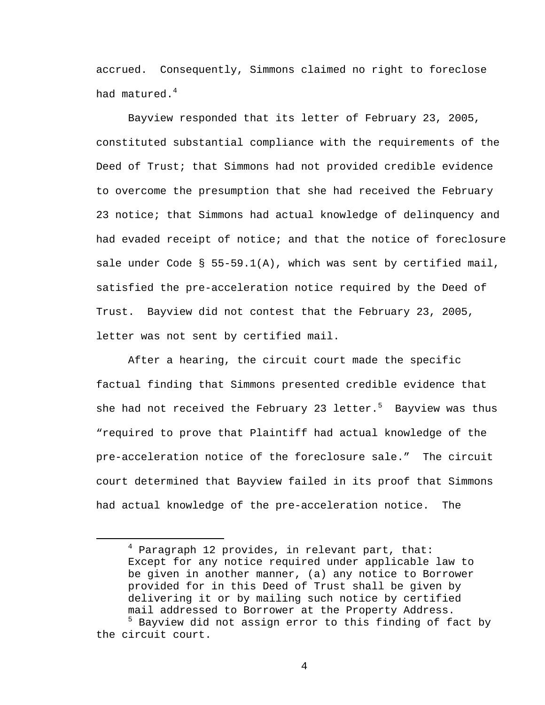accrued. Consequently, Simmons claimed no right to foreclose had matured.<sup>4</sup>

Bayview responded that its letter of February 23, 2005, constituted substantial compliance with the requirements of the Deed of Trust; that Simmons had not provided credible evidence to overcome the presumption that she had received the February 23 notice; that Simmons had actual knowledge of delinquency and had evaded receipt of notice; and that the notice of foreclosure sale under Code § 55-59.1(A), which was sent by certified mail, satisfied the pre-acceleration notice required by the Deed of Trust. Bayview did not contest that the February 23, 2005, letter was not sent by certified mail.

After a hearing, the circuit court made the specific factual finding that Simmons presented credible evidence that she had not received the February 23 letter. $^5$  Bayview was thus "required to prove that Plaintiff had actual knowledge of the pre-acceleration notice of the foreclosure sale." The circuit court determined that Bayview failed in its proof that Simmons had actual knowledge of the pre-acceleration notice. The

 $\overline{4}$  $4$  Paragraph 12 provides, in relevant part, that: Except for any notice required under applicable law to be given in another manner, (a) any notice to Borrower provided for in this Deed of Trust shall be given by delivering it or by mailing such notice by certified mail addressed to Borrower at the Property Address.

<sup>5</sup> Bayview did not assign error to this finding of fact by the circuit court.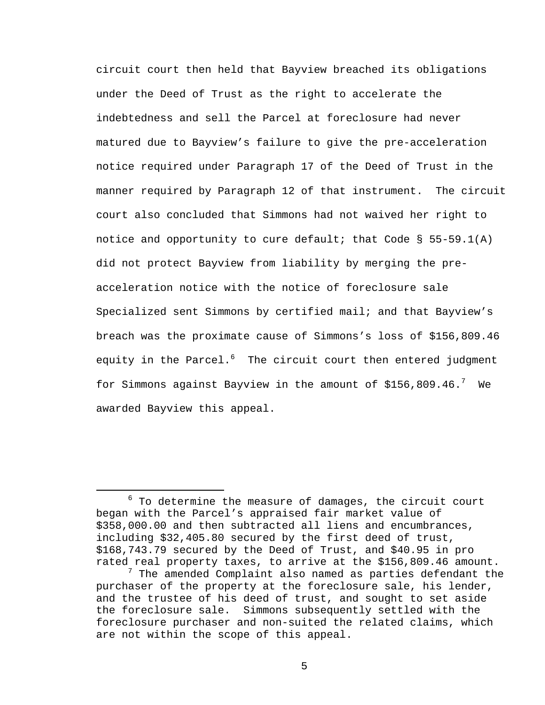circuit court then held that Bayview breached its obligations under the Deed of Trust as the right to accelerate the indebtedness and sell the Parcel at foreclosure had never matured due to Bayview's failure to give the pre-acceleration notice required under Paragraph 17 of the Deed of Trust in the manner required by Paragraph 12 of that instrument. The circuit court also concluded that Simmons had not waived her right to notice and opportunity to cure default; that Code  $\S$  55-59.1(A) did not protect Bayview from liability by merging the preacceleration notice with the notice of foreclosure sale Specialized sent Simmons by certified mail; and that Bayview's breach was the proximate cause of Simmons's loss of \$156,809.46 equity in the Parcel.<sup>6</sup> The circuit court then entered judgment for Simmons against Bayview in the amount of \$156,809.46. $^7\,$  We awarded Bayview this appeal.

 $\overline{6}$  $6$  To determine the measure of damages, the circuit court began with the Parcel's appraised fair market value of \$358,000.00 and then subtracted all liens and encumbrances, including \$32,405.80 secured by the first deed of trust, \$168,743.79 secured by the Deed of Trust, and \$40.95 in pro rated real property taxes, to arrive at the \$156,809.46 amount.

 $^7$  The amended Complaint also named as parties defendant the purchaser of the property at the foreclosure sale, his lender, and the trustee of his deed of trust, and sought to set aside the foreclosure sale. Simmons subsequently settled with the foreclosure purchaser and non-suited the related claims, which are not within the scope of this appeal.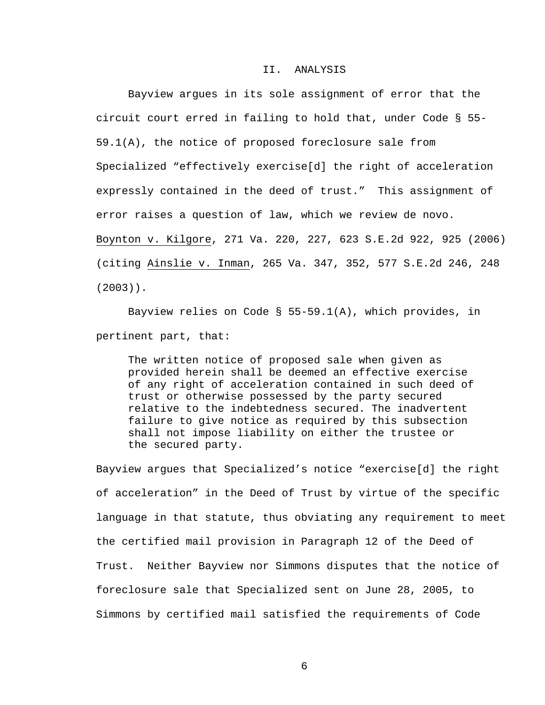### II. ANALYSIS

Bayview argues in its sole assignment of error that the circuit court erred in failing to hold that, under Code § 55- 59.1(A), the notice of proposed foreclosure sale from Specialized "effectively exercise[d] the right of acceleration expressly contained in the deed of trust." This assignment of error raises a question of law, which we review de novo. Boynton v. Kilgore, 271 Va. 220, 227, 623 S.E.2d 922, 925 (2006) (citing Ainslie v. Inman, 265 Va. 347, 352, 577 S.E.2d 246, 248 (2003)).

Bayview relies on Code § 55-59.1(A), which provides, in pertinent part, that:

The written notice of proposed sale when given as provided herein shall be deemed an effective exercise of any right of acceleration contained in such deed of trust or otherwise possessed by the party secured relative to the indebtedness secured. The inadvertent failure to give notice as required by this subsection shall not impose liability on either the trustee or the secured party.

Bayview argues that Specialized's notice "exercise[d] the right of acceleration" in the Deed of Trust by virtue of the specific language in that statute, thus obviating any requirement to meet the certified mail provision in Paragraph 12 of the Deed of Trust. Neither Bayview nor Simmons disputes that the notice of foreclosure sale that Specialized sent on June 28, 2005, to Simmons by certified mail satisfied the requirements of Code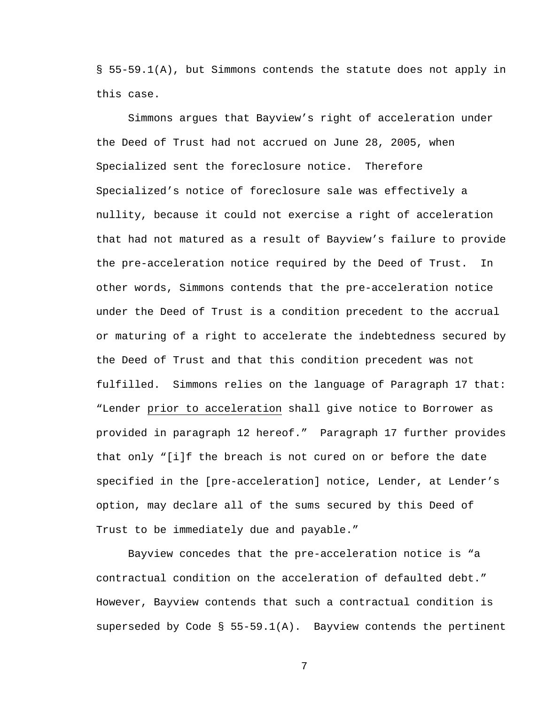§ 55-59.1(A), but Simmons contends the statute does not apply in this case.

Simmons argues that Bayview's right of acceleration under the Deed of Trust had not accrued on June 28, 2005, when Specialized sent the foreclosure notice. Therefore Specialized's notice of foreclosure sale was effectively a nullity, because it could not exercise a right of acceleration that had not matured as a result of Bayview's failure to provide the pre-acceleration notice required by the Deed of Trust. In other words, Simmons contends that the pre-acceleration notice under the Deed of Trust is a condition precedent to the accrual or maturing of a right to accelerate the indebtedness secured by the Deed of Trust and that this condition precedent was not fulfilled. Simmons relies on the language of Paragraph 17 that: "Lender prior to acceleration shall give notice to Borrower as provided in paragraph 12 hereof." Paragraph 17 further provides that only "[i]f the breach is not cured on or before the date specified in the [pre-acceleration] notice, Lender, at Lender's option, may declare all of the sums secured by this Deed of Trust to be immediately due and payable."

Bayview concedes that the pre-acceleration notice is "a contractual condition on the acceleration of defaulted debt." However, Bayview contends that such a contractual condition is superseded by Code § 55-59.1(A). Bayview contends the pertinent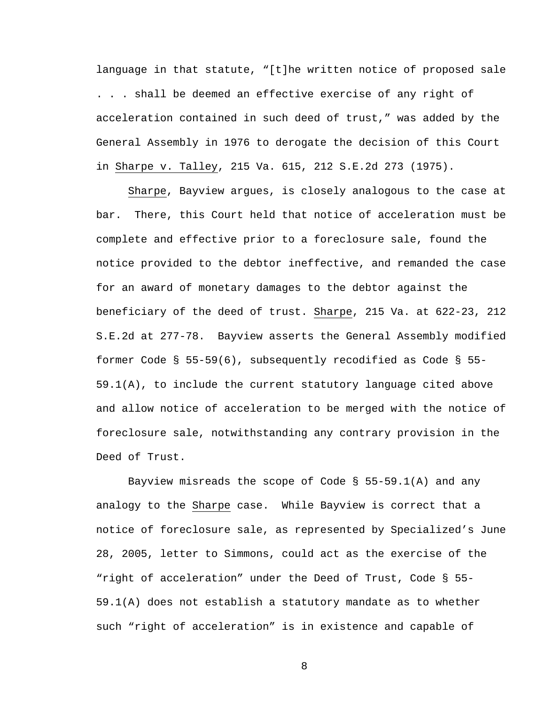language in that statute, "[t]he written notice of proposed sale . . . shall be deemed an effective exercise of any right of acceleration contained in such deed of trust," was added by the General Assembly in 1976 to derogate the decision of this Court in Sharpe v. Talley, 215 Va. 615, 212 S.E.2d 273 (1975).

Sharpe, Bayview argues, is closely analogous to the case at bar. There, this Court held that notice of acceleration must be complete and effective prior to a foreclosure sale, found the notice provided to the debtor ineffective, and remanded the case for an award of monetary damages to the debtor against the beneficiary of the deed of trust. Sharpe, 215 Va. at 622-23, 212 S.E.2d at 277-78. Bayview asserts the General Assembly modified former Code § 55-59(6), subsequently recodified as Code § 55-  $59.1(A)$ , to include the current statutory language cited above and allow notice of acceleration to be merged with the notice of foreclosure sale, notwithstanding any contrary provision in the Deed of Trust.

Bayview misreads the scope of Code § 55-59.1(A) and any analogy to the Sharpe case. While Bayview is correct that a notice of foreclosure sale, as represented by Specialized's June 28, 2005, letter to Simmons, could act as the exercise of the "right of acceleration" under the Deed of Trust, Code § 55- 59.1(A) does not establish a statutory mandate as to whether such "right of acceleration" is in existence and capable of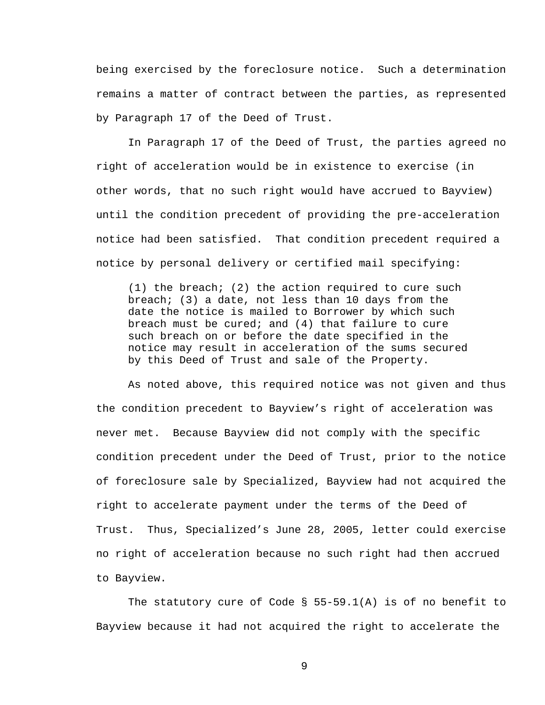being exercised by the foreclosure notice. Such a determination remains a matter of contract between the parties, as represented by Paragraph 17 of the Deed of Trust.

In Paragraph 17 of the Deed of Trust, the parties agreed no right of acceleration would be in existence to exercise (in other words, that no such right would have accrued to Bayview) until the condition precedent of providing the pre-acceleration notice had been satisfied. That condition precedent required a notice by personal delivery or certified mail specifying:

(1) the breach; (2) the action required to cure such breach; (3) a date, not less than 10 days from the date the notice is mailed to Borrower by which such breach must be cured; and (4) that failure to cure such breach on or before the date specified in the notice may result in acceleration of the sums secured by this Deed of Trust and sale of the Property.

As noted above, this required notice was not given and thus the condition precedent to Bayview's right of acceleration was never met. Because Bayview did not comply with the specific condition precedent under the Deed of Trust, prior to the notice of foreclosure sale by Specialized, Bayview had not acquired the right to accelerate payment under the terms of the Deed of Trust. Thus, Specialized's June 28, 2005, letter could exercise no right of acceleration because no such right had then accrued to Bayview.

The statutory cure of Code § 55-59.1(A) is of no benefit to Bayview because it had not acquired the right to accelerate the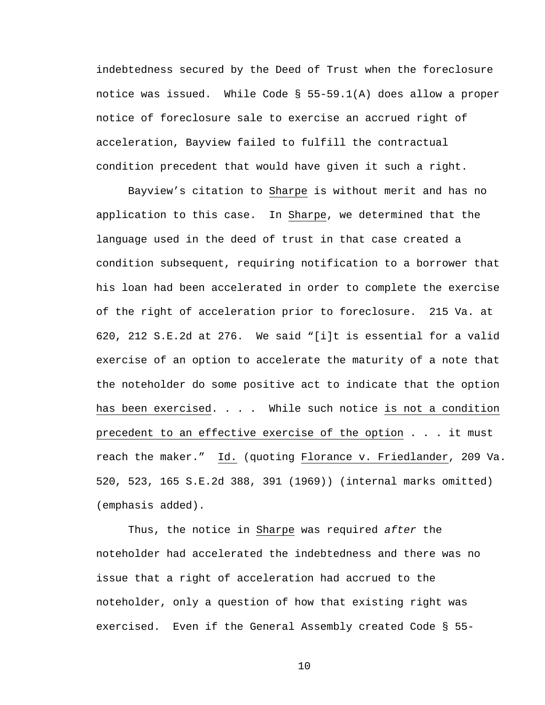indebtedness secured by the Deed of Trust when the foreclosure notice was issued. While Code § 55-59.1(A) does allow a proper notice of foreclosure sale to exercise an accrued right of acceleration, Bayview failed to fulfill the contractual condition precedent that would have given it such a right.

Bayview's citation to Sharpe is without merit and has no application to this case. In Sharpe, we determined that the language used in the deed of trust in that case created a condition subsequent, requiring notification to a borrower that his loan had been accelerated in order to complete the exercise of the right of acceleration prior to foreclosure. 215 Va. at 620, 212 S.E.2d at 276. We said "[i]t is essential for a valid exercise of an option to accelerate the maturity of a note that the noteholder do some positive act to indicate that the option has been exercised. . . . While such notice is not a condition precedent to an effective exercise of the option . . . it must reach the maker." Id. (quoting Florance v. Friedlander, 209 Va. 520, 523, 165 S.E.2d 388, 391 (1969)) (internal marks omitted) (emphasis added).

Thus, the notice in Sharpe was required *after* the noteholder had accelerated the indebtedness and there was no issue that a right of acceleration had accrued to the noteholder, only a question of how that existing right was exercised. Even if the General Assembly created Code § 55-